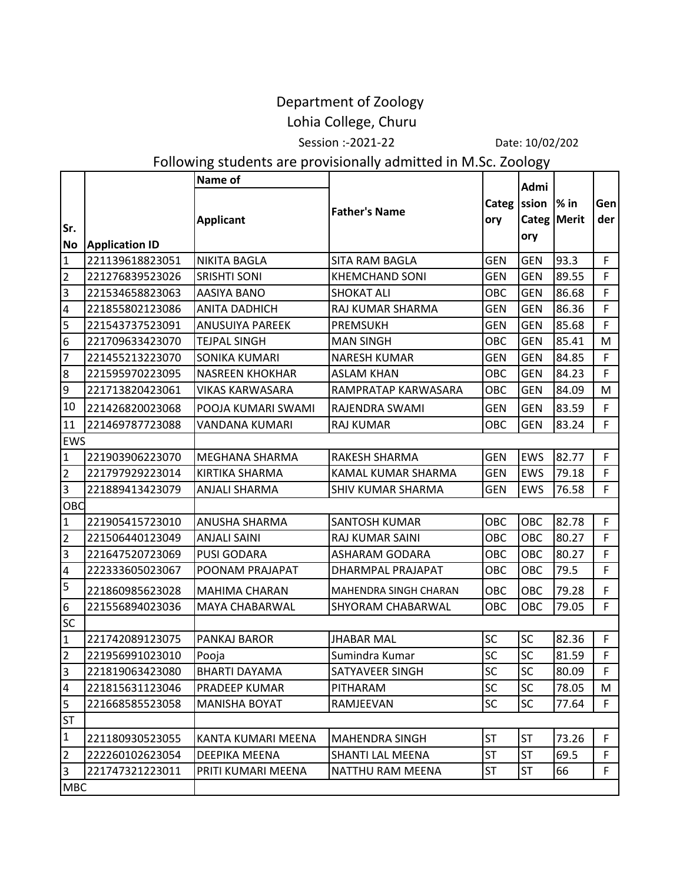## Department of Zoology

## Lohia College, Churu

Session :-2021-22 Date: 10/02/202

## Following students are provisionally admitted in M.Sc. Zoology

|                  |                       | Name of                |                          |              | Admi                        |        |             |
|------------------|-----------------------|------------------------|--------------------------|--------------|-----------------------------|--------|-------------|
| Sr.<br><b>No</b> | <b>Application ID</b> | <b>Applicant</b>       | <b>Father's Name</b>     | Categ<br>ory | ssion<br>Categ Merit<br>ory | $%$ in | Gen<br>der  |
| $\overline{1}$   | 221139618823051       | <b>NIKITA BAGLA</b>    | SITA RAM BAGLA           | <b>GEN</b>   | <b>GEN</b>                  | 93.3   | F.          |
| $\overline{2}$   | 221276839523026       | <b>SRISHTI SONI</b>    | <b>KHEMCHAND SONI</b>    | <b>GEN</b>   | <b>GEN</b>                  | 89.55  | F           |
| $\vert$ 3        | 221534658823063       | AASIYA BANO            | <b>SHOKAT ALI</b>        | OBC          | <b>GEN</b>                  | 86.68  | F           |
| $\overline{a}$   | 221855802123086       | <b>ANITA DADHICH</b>   | RAJ KUMAR SHARMA         | <b>GEN</b>   | <b>GEN</b>                  | 86.36  | F           |
| 5                | 221543737523091       | <b>ANUSUIYA PAREEK</b> | <b>PREMSUKH</b>          | <b>GEN</b>   | <b>GEN</b>                  | 85.68  | F           |
| $6\phantom{1}6$  | 221709633423070       | <b>TEJPAL SINGH</b>    | <b>MAN SINGH</b>         | OBC          | <b>GEN</b>                  | 85.41  | M           |
| $\overline{z}$   | 221455213223070       | SONIKA KUMARI          | <b>NARESH KUMAR</b>      | <b>GEN</b>   | <b>GEN</b>                  | 84.85  | F           |
| $\overline{8}$   | 221595970223095       | <b>NASREEN KHOKHAR</b> | <b>ASLAM KHAN</b>        | OBC          | <b>GEN</b>                  | 84.23  | F           |
| ٥                | 221713820423061       | <b>VIKAS KARWASARA</b> | RAMPRATAP KARWASARA      | OBC          | <b>GEN</b>                  | 84.09  | M           |
| 10               | 221426820023068       | POOJA KUMARI SWAMI     | RAJENDRA SWAMI           | <b>GEN</b>   | <b>GEN</b>                  | 83.59  | F           |
| 11               | 221469787723088       | VANDANA KUMARI         | <b>RAJ KUMAR</b>         | OBC          | <b>GEN</b>                  | 83.24  | F.          |
| <b>EWS</b>       |                       |                        |                          |              |                             |        |             |
| $\overline{1}$   | 221903906223070       | <b>MEGHANA SHARMA</b>  | RAKESH SHARMA            | <b>GEN</b>   | EWS                         | 82.77  | F           |
| $\overline{2}$   | 221797929223014       | <b>KIRTIKA SHARMA</b>  | KAMAL KUMAR SHARMA       | <b>GEN</b>   | <b>EWS</b>                  | 79.18  | F           |
| $\overline{3}$   | 221889413423079       | <b>ANJALI SHARMA</b>   | <b>SHIV KUMAR SHARMA</b> | <b>GEN</b>   | <b>EWS</b>                  | 76.58  | F.          |
| OBC              |                       |                        |                          |              |                             |        |             |
| $\mathbf{1}$     | 221905415723010       | ANUSHA SHARMA          | SANTOSH KUMAR            | OBC          | OBC                         | 82.78  | F           |
| $\overline{2}$   | 221506440123049       | <b>ANJALI SAINI</b>    | RAJ KUMAR SAINI          | OBC          | OBC                         | 80.27  | F.          |
| $\overline{3}$   | 221647520723069       | <b>PUSI GODARA</b>     | ASHARAM GODARA           | OBC          | OBC                         | 80.27  | F           |
| $\overline{4}$   | 222333605023067       | POONAM PRAJAPAT        | DHARMPAL PRAJAPAT        | OBC          | OBC                         | 79.5   | F.          |
| $\overline{5}$   | 221860985623028       | MAHIMA CHARAN          | MAHENDRA SINGH CHARAN    | OBC          | OBC                         | 79.28  | F           |
| $6\overline{6}$  | 221556894023036       | MAYA CHABARWAL         | SHYORAM CHABARWAL        | OBC          | OBC                         | 79.05  | F.          |
| <b>SC</b>        |                       |                        |                          |              |                             |        |             |
| $\overline{1}$   | 221742089123075       | PANKAJ BAROR           | <b>JHABAR MAL</b>        | SC           | SC                          | 82.36  | F.          |
| $\overline{2}$   | 221956991023010       | Pooja                  | Sumindra Kumar           | SC           | SC                          | 81.59  | F.          |
| $\overline{3}$   | 221819063423080       | <b>BHARTI DAYAMA</b>   | SATYAVEER SINGH          | ${\sf SC}$   | SC                          | 80.09  | $\mathsf F$ |
| $\overline{4}$   | 221815631123046       | PRADEEP KUMAR          | PITHARAM                 | SC           | SC                          | 78.05  | M           |
| 5                | 221668585523058       | <b>MANISHA BOYAT</b>   | RAMJEEVAN                | SC           | <b>SC</b>                   | 77.64  | F.          |
| <b>ST</b>        |                       |                        |                          |              |                             |        |             |
| $\mathbf{1}$     | 221180930523055       | KANTA KUMARI MEENA     | <b>MAHENDRA SINGH</b>    | <b>ST</b>    | <b>ST</b>                   | 73.26  | F           |
| $\overline{2}$   | 222260102623054       | DEEPIKA MEENA          | SHANTI LAL MEENA         | <b>ST</b>    | <b>ST</b>                   | 69.5   | F           |
| $\overline{3}$   | 221747321223011       | PRITI KUMARI MEENA     | NATTHU RAM MEENA         | <b>ST</b>    | <b>ST</b>                   | 66     | F.          |
| <b>MBC</b>       |                       |                        |                          |              |                             |        |             |